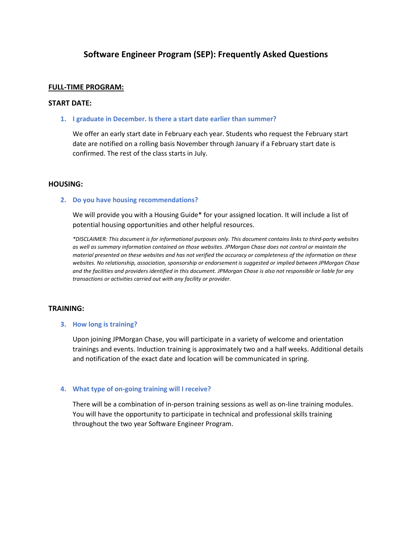# **Software Engineer Program (SEP): Frequently Asked Questions**

### **FULL-TIME PROGRAM:**

### **START DATE:**

**1. I graduate in December. Is there a start date earlier than summer?** 

We offer an early start date in February each year. Students who request the February start date are notified on a rolling basis November through January if a February start date is confirmed. The rest of the class starts in July.

### **HOUSING:**

### **2. Do you have housing recommendations?**

We will provide you with a Housing Guide\* for your assigned location. It will include a list of potential housing opportunities and other helpful resources.

*\*DISCLAIMER: This document is for informational purposes only. This document contains links to third-party websites as well as summary information contained on those websites. JPMorgan Chase does not control or maintain the material presented on these websites and has not verified the accuracy or completeness of the information on these websites. No relationship, association, sponsorship or endorsement is suggested or implied between JPMorgan Chase and the facilities and providers identified in this document. JPMorgan Chase is also not responsible or liable for any transactions or activities carried out with any facility or provider.* 

# **TRAINING:**

# **3. How long is training?**

Upon joining JPMorgan Chase, you will participate in a variety of welcome and orientation trainings and events. Induction training is approximately two and a half weeks. Additional details and notification of the exact date and location will be communicated in spring.

### **4. What type of on-going training will I receive?**

There will be a combination of in-person training sessions as well as on-line training modules. You will have the opportunity to participate in technical and professional skills training throughout the two year Software Engineer Program.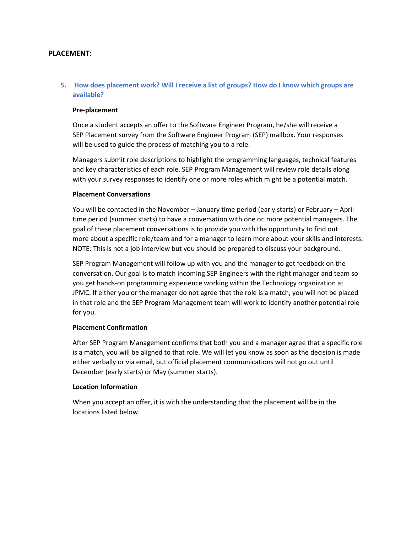### **PLACEMENT:**

# **5. How does placement work? Will I receive a list of groups? How do I know which groups are available?**

### **Pre-placement**

Once a student accepts an offer to the Software Engineer Program, he/she will receive a SEP Placement survey from the Software Engineer Program (SEP) mailbox. Your responses will be used to guide the process of matching you to a role.

Managers submit role descriptions to highlight the programming languages, technical features and key characteristics of each role. SEP Program Management will review role details along with your survey responses to identify one or more roles which might be a potential match.

### **Placement Conversations**

You will be contacted in the November – January time period (early starts) or February – April time period (summer starts) to have a conversation with one or more potential managers. The goal of these placement conversations is to provide you with the opportunity to find out more about a specific role/team and for a manager to learn more about your skills and interests. NOTE: This is not a job interview but you should be prepared to discuss your background.

SEP Program Management will follow up with you and the manager to get feedback on the conversation. Our goal is to match incoming SEP Engineers with the right manager and team so you get hands-on programming experience working within the Technology organization at JPMC. If either you or the manager do not agree that the role is a match, you will not be placed in that role and the SEP Program Management team will work to identify another potential role for you.

# **Placement Confirmation**

After SEP Program Management confirms that both you and a manager agree that a specific role is a match, you will be aligned to that role. We will let you know as soon as the decision is made either verbally or via email, but official placement communications will not go out until December (early starts) or May (summer starts).

### **Location Information**

When you accept an offer, it is with the understanding that the placement will be in the locations listed below.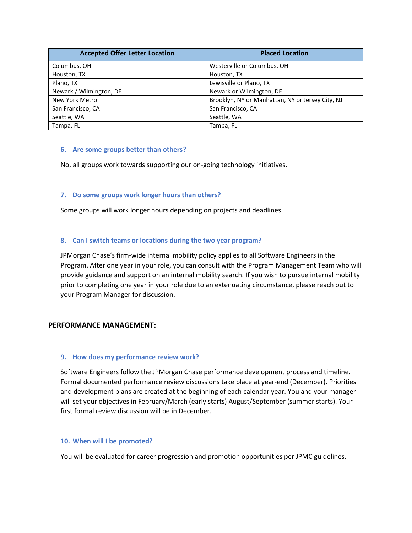| <b>Accepted Offer Letter Location</b> | <b>Placed Location</b>                           |
|---------------------------------------|--------------------------------------------------|
| Columbus, OH                          | Westerville or Columbus, OH                      |
| Houston, TX                           | Houston, TX                                      |
| Plano, TX                             | Lewisville or Plano, TX                          |
| Newark / Wilmington, DE               | Newark or Wilmington, DE                         |
| New York Metro                        | Brooklyn, NY or Manhattan, NY or Jersey City, NJ |
| San Francisco, CA                     | San Francisco, CA                                |
| Seattle, WA                           | Seattle, WA                                      |
| Tampa, FL                             | Tampa, FL                                        |

### **6. Are some groups better than others?**

No, all groups work towards supporting our on-going technology initiatives.

# **7. Do some groups work longer hours than others?**

Some groups will work longer hours depending on projects and deadlines.

# **8. Can I switch teams or locations during the two year program?**

JPMorgan Chase's firm-wide internal mobility policy applies to all Software Engineers in the Program. After one year in your role, you can consult with the Program Management Team who will provide guidance and support on an internal mobility search. If you wish to pursue internal mobility prior to completing one year in your role due to an extenuating circumstance, please reach out to your Program Manager for discussion.

# **PERFORMANCE MANAGEMENT:**

### **9. How does my performance review work?**

Software Engineers follow the JPMorgan Chase performance development process and timeline. Formal documented performance review discussions take place at year-end (December). Priorities and development plans are created at the beginning of each calendar year. You and your manager will set your objectives in February/March (early starts) August/September (summer starts). Your first formal review discussion will be in December.

### **10. When will I be promoted?**

You will be evaluated for career progression and promotion opportunities per JPMC guidelines.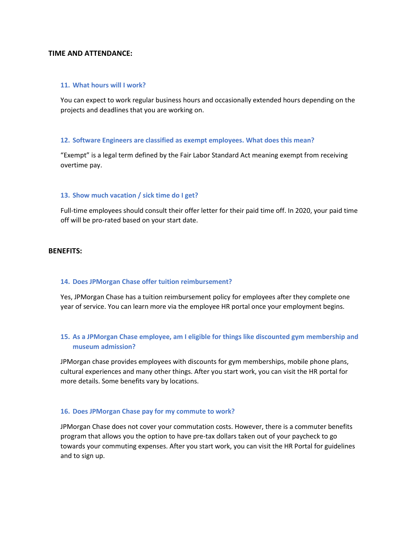### **TIME AND ATTENDANCE:**

#### **11. What hours will I work?**

You can expect to work regular business hours and occasionally extended hours depending on the projects and deadlines that you are working on.

### **12. Software Engineers are classified as exempt employees. What does this mean?**

"Exempt" is a legal term defined by the Fair Labor Standard Act meaning exempt from receiving overtime pay.

### **13. Show much vacation / sick time do I get?**

Full-time employees should consult their offer letter for their paid time off. In 2020, your paid time off will be pro-rated based on your start date.

### **BENEFITS:**

### **14. Does JPMorgan Chase offer tuition reimbursement?**

Yes, JPMorgan Chase has a tuition reimbursement policy for employees after they complete one year of service. You can learn more via the employee HR portal once your employment begins.

# **15. As a JPMorgan Chase employee, am I eligible for things like discounted gym membership and museum admission?**

JPMorgan chase provides employees with discounts for gym memberships, mobile phone plans, cultural experiences and many other things. After you start work, you can visit the HR portal for more details. Some benefits vary by locations.

### **16. Does JPMorgan Chase pay for my commute to work?**

JPMorgan Chase does not cover your commutation costs. However, there is a commuter benefits program that allows you the option to have pre-tax dollars taken out of your paycheck to go towards your commuting expenses. After you start work, you can visit the HR Portal for guidelines and to sign up.